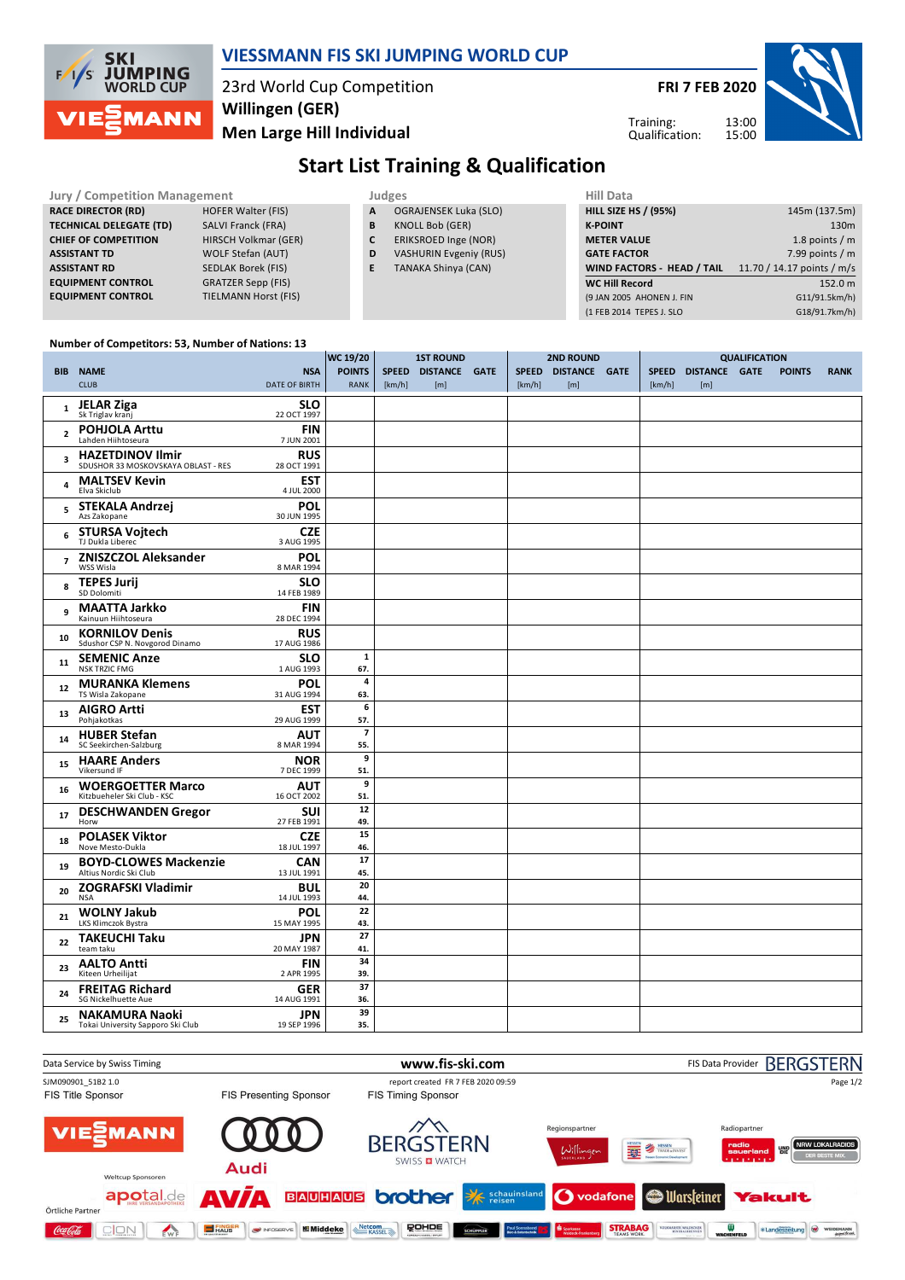

### **VIESSMANN FIS SKI JUMPING WORLD CUP**

23rd World Cup Competition **Men Large Hill Individual Willingen (GER)**

**FRI 7 FEB 2020**

Training: Qualification:



## **Start List Training & Qualification**

**Jury / Competition Management Management** Judges **RACE DIRECTOR (RD) HOFER Walter (FIS) TECHNICAL DELEGATE (TD)** SALVI Franck (FRA) **CHIEF OF COMPETITION** HIRSCH Volkmar (GER) **ASSISTANT TD** WOLF Stefan (AUT) **ASSISTANT RD** SEDLAK Borek (FIS) **EQUIPMENT CONTROL** GRATZER Sepp (FIS)

**EQUIPMENT CONTROL** TIELMANN Horst (FIS)

- **A** OGRAJENSEK Luka (SLO)
- **B** KNOLL Bob (GER)
- **C** ERIKSROED Inge (NOR)
- **D** VASHURIN Evgeniy (RUS)
- **E** TANAKA Shinya (CAN)

| Hill Data                         |                            |
|-----------------------------------|----------------------------|
| <b>HILL SIZE HS / (95%)</b>       | 145m (137.5m)              |
| <b>K-POINT</b>                    | 130 <sub>m</sub>           |
| <b>METER VALUE</b>                | 1.8 points $/m$            |
| <b>GATE FACTOR</b>                | 7.99 points $/m$           |
| <b>WIND FACTORS - HEAD / TAIL</b> | 11.70 / 14.17 points / m/s |
| <b>WC Hill Record</b>             | 152.0 m                    |
| (9 JAN 2005 AHONEN J. FIN         | G11/91.5km/h)              |
| (1 FEB 2014 TEPES J. SLO          | G18/91.7km/h)              |
|                                   |                            |

#### **Number of Competitors: 53, Number of Nations: 13**

|              |                                                                |                           | WC 19/20                 | <b>1ST ROUND</b> |                      | <b>2ND ROUND</b> |        |                     | <b>QUALIFICATION</b> |        |                     |  |               |             |
|--------------|----------------------------------------------------------------|---------------------------|--------------------------|------------------|----------------------|------------------|--------|---------------------|----------------------|--------|---------------------|--|---------------|-------------|
|              | <b>BIB NAME</b>                                                | <b>NSA</b>                | <b>POINTS</b>            | <b>SPEED</b>     | <b>DISTANCE GATE</b> |                  |        | SPEED DISTANCE GATE |                      |        | SPEED DISTANCE GATE |  | <b>POINTS</b> | <b>RANK</b> |
|              | <b>CLUB</b>                                                    | <b>DATE OF BIRTH</b>      | <b>RANK</b>              | [km/h]           | [m]                  |                  | [km/h] | [m]                 |                      | [km/h] | [m]                 |  |               |             |
|              |                                                                |                           |                          |                  |                      |                  |        |                     |                      |        |                     |  |               |             |
| $\mathbf{1}$ | <b>JELAR Ziga</b><br>Sk Triglav kranj                          | <b>SLO</b>                |                          |                  |                      |                  |        |                     |                      |        |                     |  |               |             |
|              |                                                                | 22 OCT 1997               |                          |                  |                      |                  |        |                     |                      |        |                     |  |               |             |
| $\mathbf{2}$ | <b>POHJOLA Arttu</b><br>Lahden Hiihtoseura                     | <b>FIN</b>                |                          |                  |                      |                  |        |                     |                      |        |                     |  |               |             |
|              |                                                                | 7 JUN 2001                |                          |                  |                      |                  |        |                     |                      |        |                     |  |               |             |
| 3            | <b>HAZETDINOV Ilmir</b><br>SDUSHOR 33 MOSKOVSKAYA OBLAST - RES | <b>RUS</b><br>28 OCT 1991 |                          |                  |                      |                  |        |                     |                      |        |                     |  |               |             |
|              |                                                                |                           |                          |                  |                      |                  |        |                     |                      |        |                     |  |               |             |
| 4            | <b>MALTSEV Kevin</b><br>Elva Skiclub                           | <b>EST</b><br>4 JUL 2000  |                          |                  |                      |                  |        |                     |                      |        |                     |  |               |             |
|              | STEKALA Andrzej                                                | POL                       |                          |                  |                      |                  |        |                     |                      |        |                     |  |               |             |
| 5            | Azs Zakopane                                                   | 30 JUN 1995               |                          |                  |                      |                  |        |                     |                      |        |                     |  |               |             |
|              | <b>STURSA Vojtech</b>                                          | <b>CZE</b>                |                          |                  |                      |                  |        |                     |                      |        |                     |  |               |             |
| 6            | TJ Dukla Liberec                                               | 3 AUG 1995                |                          |                  |                      |                  |        |                     |                      |        |                     |  |               |             |
|              | <b>ZNISZCZOL Aleksander</b>                                    | POL                       |                          |                  |                      |                  |        |                     |                      |        |                     |  |               |             |
| 7            | WSS Wisla                                                      | 8 MAR 1994                |                          |                  |                      |                  |        |                     |                      |        |                     |  |               |             |
| 8            | <b>TEPES Jurij</b>                                             | <b>SLO</b>                |                          |                  |                      |                  |        |                     |                      |        |                     |  |               |             |
|              | SD Dolomiti                                                    | 14 FEB 1989               |                          |                  |                      |                  |        |                     |                      |        |                     |  |               |             |
| 9            | <b>MAATTA Jarkko</b>                                           | <b>FIN</b>                |                          |                  |                      |                  |        |                     |                      |        |                     |  |               |             |
|              | Kainuun Hiihtoseura                                            | 28 DEC 1994               |                          |                  |                      |                  |        |                     |                      |        |                     |  |               |             |
| 10           | <b>KORNILOV Denis</b>                                          | <b>RUS</b>                |                          |                  |                      |                  |        |                     |                      |        |                     |  |               |             |
|              | Sdushor CSP N. Novgorod Dinamo                                 | 17 AUG 1986               |                          |                  |                      |                  |        |                     |                      |        |                     |  |               |             |
| 11           | <b>SEMENIC Anze</b>                                            | <b>SLO</b>                | $\mathbf 1$              |                  |                      |                  |        |                     |                      |        |                     |  |               |             |
|              | <b>NSK TRZIC FMG</b>                                           | 1 AUG 1993                | 67.                      |                  |                      |                  |        |                     |                      |        |                     |  |               |             |
| 12           | <b>MURANKA Klemens</b><br>TS Wisla Zakopane                    | POL<br>31 AUG 1994        | 4<br>63.                 |                  |                      |                  |        |                     |                      |        |                     |  |               |             |
|              |                                                                |                           | 6                        |                  |                      |                  |        |                     |                      |        |                     |  |               |             |
| 13           | <b>AIGRO Artti</b><br>Pohiakotkas                              | <b>EST</b><br>29 AUG 1999 | 57.                      |                  |                      |                  |        |                     |                      |        |                     |  |               |             |
|              | <b>HUBER Stefan</b>                                            | AUT                       | $\overline{\phantom{a}}$ |                  |                      |                  |        |                     |                      |        |                     |  |               |             |
| 14           | SC Seekirchen-Salzburg                                         | 8 MAR 1994                | 55.                      |                  |                      |                  |        |                     |                      |        |                     |  |               |             |
|              | <b>HAARE Anders</b>                                            | <b>NOR</b>                | 9                        |                  |                      |                  |        |                     |                      |        |                     |  |               |             |
| 15           | Vikersund IF                                                   | 7 DEC 1999                | 51.                      |                  |                      |                  |        |                     |                      |        |                     |  |               |             |
| 16           | <b>WOERGOETTER Marco</b>                                       | AUT                       | 9                        |                  |                      |                  |        |                     |                      |        |                     |  |               |             |
|              | Kitzbueheler Ski Club - KSC                                    | 16 OCT 2002               | 51.                      |                  |                      |                  |        |                     |                      |        |                     |  |               |             |
| 17           | <b>DESCHWANDEN Gregor</b>                                      | SUI                       | 12                       |                  |                      |                  |        |                     |                      |        |                     |  |               |             |
|              | Horw                                                           | 27 FEB 1991               | 49.                      |                  |                      |                  |        |                     |                      |        |                     |  |               |             |
| 18           | <b>POLASEK Viktor</b>                                          | <b>CZE</b>                | 15                       |                  |                      |                  |        |                     |                      |        |                     |  |               |             |
|              | Nove Mesto-Dukla                                               | 18 JUL 1997               | 46.                      |                  |                      |                  |        |                     |                      |        |                     |  |               |             |
| 19           | <b>BOYD-CLOWES Mackenzie</b>                                   | <b>CAN</b>                | 17                       |                  |                      |                  |        |                     |                      |        |                     |  |               |             |
|              | Altius Nordic Ski Club                                         | 13 JUL 1991               | 45.                      |                  |                      |                  |        |                     |                      |        |                     |  |               |             |
| 20           | <b>ZOGRAFSKI Vladimir</b><br><b>NSA</b>                        | BUL<br>14 JUL 1993        | 20<br>44.                |                  |                      |                  |        |                     |                      |        |                     |  |               |             |
|              |                                                                | <b>POL</b>                | 22                       |                  |                      |                  |        |                     |                      |        |                     |  |               |             |
| 21           | <b>WOLNY Jakub</b><br>LKS Klimczok Bystra                      | 15 MAY 1995               | 43.                      |                  |                      |                  |        |                     |                      |        |                     |  |               |             |
|              | <b>TAKEUCHI Taku</b>                                           | <b>JPN</b>                | 27                       |                  |                      |                  |        |                     |                      |        |                     |  |               |             |
| 22           | team taku                                                      | 20 MAY 1987               | 41.                      |                  |                      |                  |        |                     |                      |        |                     |  |               |             |
|              | <b>AALTO Antti</b>                                             | <b>FIN</b>                | 34                       |                  |                      |                  |        |                     |                      |        |                     |  |               |             |
| 23           | Kiteen Urheilijat                                              | 2 APR 1995                | 39.                      |                  |                      |                  |        |                     |                      |        |                     |  |               |             |
| 24           | <b>FREITAG Richard</b>                                         | <b>GER</b>                | 37                       |                  |                      |                  |        |                     |                      |        |                     |  |               |             |
|              | SG Nickelhuette Aue                                            | 14 AUG 1991               | 36.                      |                  |                      |                  |        |                     |                      |        |                     |  |               |             |
| 25           | <b>NAKAMURA Naoki</b>                                          | JPN                       | 39                       |                  |                      |                  |        |                     |                      |        |                     |  |               |             |
|              | Tokai University Sapporo Ski Club                              | 19 SEP 1996               | 35.                      |                  |                      |                  |        |                     |                      |        |                     |  |               |             |